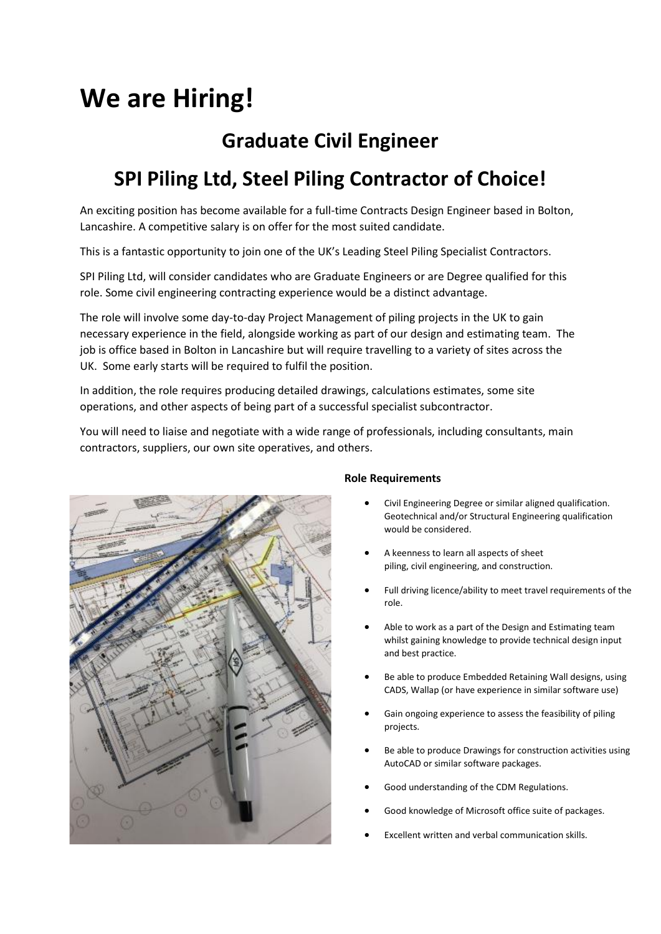# **We are Hiring!**

## **Graduate Civil Engineer**

# **SPI Piling Ltd, Steel Piling Contractor of Choice!**

An exciting position has become available for a full-time Contracts Design Engineer based in Bolton, Lancashire. A competitive salary is on offer for the most suited candidate.

This is a fantastic opportunity to join one of the UK's Leading Steel Piling Specialist Contractors.

SPI Piling Ltd, will consider candidates who are Graduate Engineers or are Degree qualified for this role. Some civil engineering contracting experience would be a distinct advantage.

The role will involve some day-to-day Project Management of piling projects in the UK to gain necessary experience in the field, alongside working as part of our design and estimating team. The job is office based in Bolton in Lancashire but will require travelling to a variety of sites across the UK. Some early starts will be required to fulfil the position.

In addition, the role requires producing detailed drawings, calculations estimates, some site operations, and other aspects of being part of a successful specialist subcontractor.

You will need to liaise and negotiate with a wide range of professionals, including consultants, main contractors, suppliers, our own site operatives, and others.



### **Role Requirements**

- Civil Engineering Degree or similar aligned qualification. Geotechnical and/or Structural Engineering qualification would be considered.
- A keenness to learn all aspects of sheet piling, civil engineering, and construction.
- Full driving licence/ability to meet travel requirements of the role.
- Able to work as a part of the Design and Estimating team whilst gaining knowledge to provide technical design input and best practice.
- Be able to produce Embedded Retaining Wall designs, using CADS, Wallap (or have experience in similar software use)
- Gain ongoing experience to assess the feasibility of piling projects.
- Be able to produce Drawings for construction activities using AutoCAD or similar software packages.
- Good understanding of the CDM Regulations.
- Good knowledge of Microsoft office suite of packages.
- Excellent written and verbal communication skills.